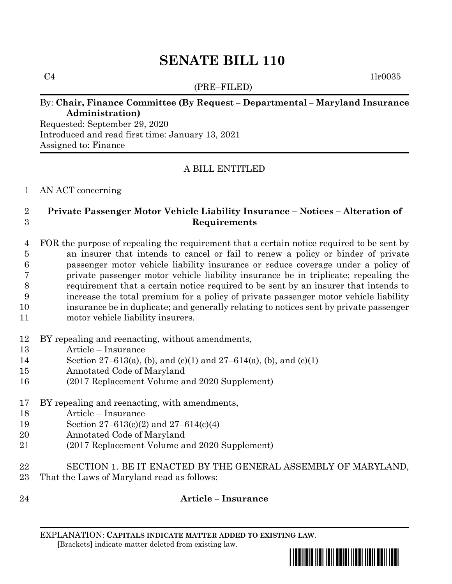# **SENATE BILL 110**

(PRE–FILED)

 $C4$  1lr0035

## By: **Chair, Finance Committee (By Request – Departmental – Maryland Insurance Administration)**

Requested: September 29, 2020 Introduced and read first time: January 13, 2021 Assigned to: Finance

## A BILL ENTITLED

#### AN ACT concerning

### **Private Passenger Motor Vehicle Liability Insurance – Notices – Alteration of Requirements**

- FOR the purpose of repealing the requirement that a certain notice required to be sent by an insurer that intends to cancel or fail to renew a policy or binder of private passenger motor vehicle liability insurance or reduce coverage under a policy of private passenger motor vehicle liability insurance be in triplicate; repealing the requirement that a certain notice required to be sent by an insurer that intends to increase the total premium for a policy of private passenger motor vehicle liability insurance be in duplicate; and generally relating to notices sent by private passenger motor vehicle liability insurers.
- BY repealing and reenacting, without amendments,
- Article Insurance
- Section 27–613(a), (b), and (c)(1) and 27–614(a), (b), and (c)(1)
- Annotated Code of Maryland
- (2017 Replacement Volume and 2020 Supplement)
- BY repealing and reenacting, with amendments,
- Article Insurance
- Section 27–613(c)(2) and 27–614(c)(4)
- Annotated Code of Maryland
- (2017 Replacement Volume and 2020 Supplement)
- SECTION 1. BE IT ENACTED BY THE GENERAL ASSEMBLY OF MARYLAND,
- That the Laws of Maryland read as follows:
- 

# **Article – Insurance**

EXPLANATION: **CAPITALS INDICATE MATTER ADDED TO EXISTING LAW**.  **[**Brackets**]** indicate matter deleted from existing law.

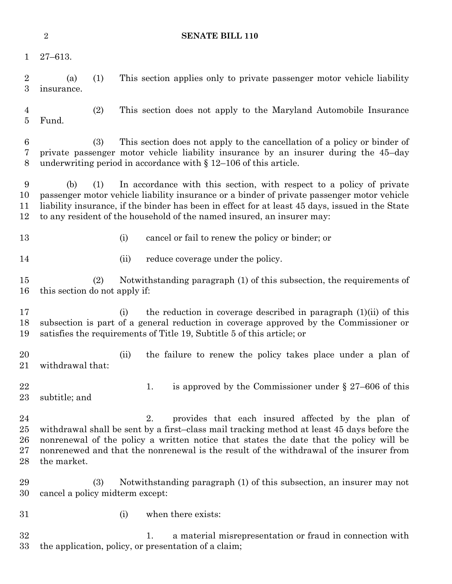|                                    | $\sqrt{2}$                                                                                                                                                                                                                                                                                                                                                    |     |      | <b>SENATE BILL 110</b>                                                                                                                                                                                                                 |
|------------------------------------|---------------------------------------------------------------------------------------------------------------------------------------------------------------------------------------------------------------------------------------------------------------------------------------------------------------------------------------------------------------|-----|------|----------------------------------------------------------------------------------------------------------------------------------------------------------------------------------------------------------------------------------------|
| $\mathbf 1$                        | $27 - 613.$                                                                                                                                                                                                                                                                                                                                                   |     |      |                                                                                                                                                                                                                                        |
| $\overline{2}$<br>3                | (a)<br>insurance.                                                                                                                                                                                                                                                                                                                                             | (1) |      | This section applies only to private passenger motor vehicle liability                                                                                                                                                                 |
| 4<br>5                             | Fund.                                                                                                                                                                                                                                                                                                                                                         | (2) |      | This section does not apply to the Maryland Automobile Insurance                                                                                                                                                                       |
| 6<br>7<br>8                        |                                                                                                                                                                                                                                                                                                                                                               | (3) |      | This section does not apply to the cancellation of a policy or binder of<br>private passenger motor vehicle liability insurance by an insurer during the 45-day<br>underwriting period in accordance with $\S 12-106$ of this article. |
| 9<br>10<br>11<br>12                | In accordance with this section, with respect to a policy of private<br>(b)<br>(1)<br>passenger motor vehicle liability insurance or a binder of private passenger motor vehicle<br>liability insurance, if the binder has been in effect for at least 45 days, issued in the State<br>to any resident of the household of the named insured, an insurer may: |     |      |                                                                                                                                                                                                                                        |
| 13                                 |                                                                                                                                                                                                                                                                                                                                                               |     | (i)  | cancel or fail to renew the policy or binder; or                                                                                                                                                                                       |
| 14                                 |                                                                                                                                                                                                                                                                                                                                                               |     | (ii) | reduce coverage under the policy.                                                                                                                                                                                                      |
| 15<br>16                           | this section do not apply if:                                                                                                                                                                                                                                                                                                                                 | (2) |      | Notwithstanding paragraph (1) of this subsection, the requirements of                                                                                                                                                                  |
| 17<br>18<br>19                     |                                                                                                                                                                                                                                                                                                                                                               |     | (i)  | the reduction in coverage described in paragraph (1)(ii) of this<br>subsection is part of a general reduction in coverage approved by the Commissioner or<br>satisfies the requirements of Title 19, Subtitle 5 of this article; or    |
| 20<br>21                           | withdrawal that:                                                                                                                                                                                                                                                                                                                                              |     | (ii) | the failure to renew the policy takes place under a plan of                                                                                                                                                                            |
| 22<br>$23\,$                       | subtitle; and                                                                                                                                                                                                                                                                                                                                                 |     |      | is approved by the Commissioner under $\S 27-606$ of this<br>1.                                                                                                                                                                        |
| 24<br>$25\,$<br>26<br>$27\,$<br>28 | 2.<br>provides that each insured affected by the plan of<br>withdrawal shall be sent by a first-class mail tracking method at least 45 days before the<br>nonrenewal of the policy a written notice that states the date that the policy will be<br>nonrenewed and that the nonrenewal is the result of the withdrawal of the insurer from<br>the market.     |     |      |                                                                                                                                                                                                                                        |
| 29<br>30                           | cancel a policy midterm except:                                                                                                                                                                                                                                                                                                                               | (3) |      | Notwithstanding paragraph (1) of this subsection, an insurer may not                                                                                                                                                                   |
| 31                                 |                                                                                                                                                                                                                                                                                                                                                               |     | (i)  | when there exists:                                                                                                                                                                                                                     |
| 32<br>33                           |                                                                                                                                                                                                                                                                                                                                                               |     |      | a material misrepresentation or fraud in connection with<br>1.<br>the application, policy, or presentation of a claim;                                                                                                                 |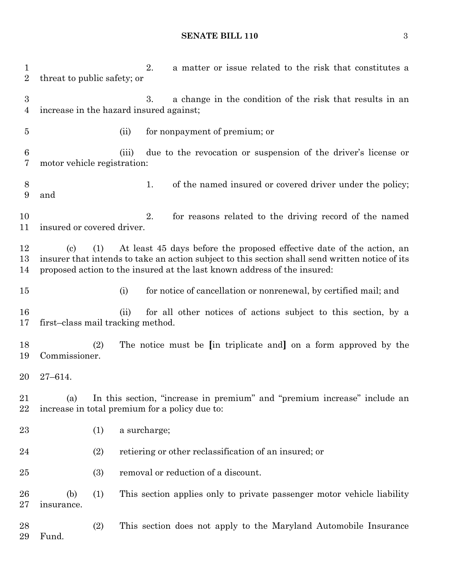#### **SENATE BILL 110** 3

1 2. a matter or issue related to the risk that constitutes a threat to public safety; or 3. a change in the condition of the risk that results in an increase in the hazard insured against; (ii) for nonpayment of premium; or (iii) due to the revocation or suspension of the driver's license or motor vehicle registration: 8 1. of the named insured or covered driver under the policy; and 2. for reasons related to the driving record of the named insured or covered driver. (c) (1) At least 45 days before the proposed effective date of the action, an insurer that intends to take an action subject to this section shall send written notice of its proposed action to the insured at the last known address of the insured: (i) for notice of cancellation or nonrenewal, by certified mail; and (ii) for all other notices of actions subject to this section, by a first–class mail tracking method. (2) The notice must be **[**in triplicate and**]** on a form approved by the Commissioner. 27–614. (a) In this section, "increase in premium" and "premium increase" include an increase in total premium for a policy due to: (1) a surcharge; (2) retiering or other reclassification of an insured; or (3) removal or reduction of a discount. (b) (1) This section applies only to private passenger motor vehicle liability insurance. (2) This section does not apply to the Maryland Automobile Insurance Fund.